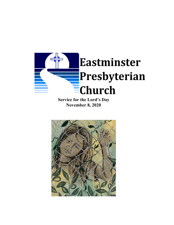

**Service for the Lord's Day November 8, 2020**

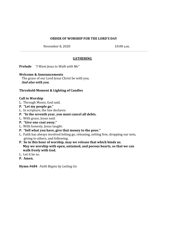## **ORDER OF WORSHIP FOR THE LORD'S DAY**

November 8, 2020 10:00 a.m.

## **GATHERING**

**Prelude** *"I Want Jesus to Walk with Me"*

#### **Welcome & Announcements**

The grace of our Lord Jesus Christ be with you. *And also with you.*

### **Threshold Moment & Lighting of Candles**

### **Call to Worship**

- L. Through Moses, God said,
- **P. "Let my people go."**
- L. In scripture, the law declares:
- **P. "In the seventh year, you must cancel all debts.**
- L. With grace, Jesus said:
- **P. "Give one coat away."**
- L. With honesty, Jesus taught:
- **P. "Sell what you have, give that money to the poor."**
- L. Faith has always involved letting go, releasing, setting free, dropping our nets, giving to others, and following.
- **P. So in this hour of worship, may we release that which binds us. May we worship with open, untamed, and porous hearts, so that we can walk freely with God.**
- L. Let it be so.
- **P. Amen.**

**Hymn #684** *Faith Begins by Letting Go*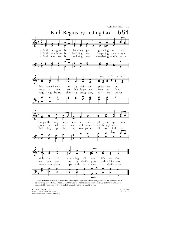

This text affirms that faith is not a state of being but a process of becoming what we are called to be in relationship to God, other people, and the world. The movement from one stage of faith to another is suggested by g

TEXT: Carl P. Daw Jr., 1995 MUSIC: Charles F. Gounod, 1872 Text © 1996 Hope Publishing Company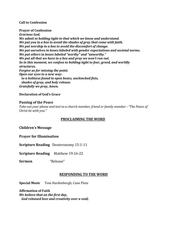### **Call to Confession**

**Prayer of Confession** *Gracious God, We admit to holding tight to that which we know and understand. We put you in a box to avoid the shades of gray that come with faith. We put worship in a box to avoid the discomfort of change. We put ourselves in boxes labeled with gender expectations and societal norms. We put others in boxes labeled "worthy" and "unworthy." We put all that we have in a box and pray we won't run out. So in this moment, we confess to holding tight to fear, greed, and worldly structures. Forgive us for missing the point. Open our eyes to a new way to a holiness found in open boxes, unclenched fists, shades of gray, and holy release. Gratefully we pray, Amen.*

### **Declaration of God's Grace**

### **Passing of the Peace**

*Take out your phone and text to a church member, friend or family member - "The Peace of Christ be with you."*

## **PROCLAIMING THE WORD**

**Children's Message**

**Prayer for Illumination**

**Scripture Reading** Deuteronomy 15:1-11

**Scripture Reading** Matthew 19:16-22

**Sermon** "Release"

## **RESPONDING TO THE WORD**

**Special Music** Tom Hardenbergh, Cane Flute

**Affirmation of Faith** *We believe that on the first day, God released love and creativity over a void;*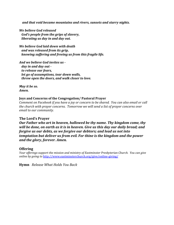*and that void became mountains and rivers, sunsets and starry nights.*

*We believe God released God's people from the grips of slavery, liberating us day in and day out.*

*We believe God laid down with death and was released from its grip, knowing suffering and freeing us from this fragile life.*

*And we believe God invites us day in and day out to release our fears, let go of assumptions, tear down walls, throw open the doors, and walk closer to love.*

*May it be so. Amen.*

### **Joys and Concerns of the Congregation/ Pastoral Prayer**

*Comment on Facebook if you have a joy or concern to be shared. You can also email or call the church with prayer concerns. Tomorrow we will send a list of prayer concerns over email to our community.*

## **The Lord's Prayer**

*Our Father who art in heaven, hallowed be thy name. Thy kingdom come, thy will be done, on earth as it is in heaven. Give us this day our daily bread; and forgive us our debts, as we forgive our debtors; and lead us not into temptation but deliver us from evil. For thine is the kingdom and the power and the glory, forever. Amen.*

## **Offering**

*Your of erings support the mission and ministry of Eastminster Presbyterian Church. You can give online by going to* <http://www.eastminsterchurch.org/give/online-giving/>

**Hymn** *Release What Holds You Back*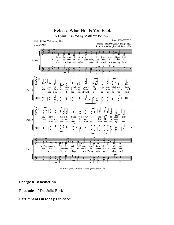

© 2020 Stephen M. Fearing | www.stephenmfearing.com

# **Charge & Benediction**

**Postlude** "The Solid Rock"

## **Participants in today's service:**